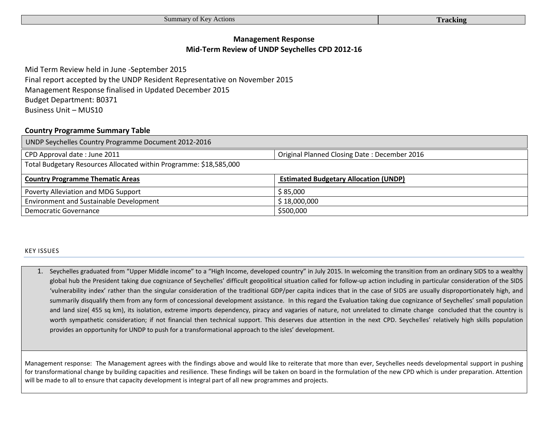# **Management Response Mid-Term Review of UNDP Seychelles CPD 2012-16**

Mid Term Review held in June -September 2015 Final report accepted by the UNDP Resident Representative on November 2015 Management Response finalised in Updated December 2015 Budget Department: B0371 Business Unit – MUS10

## **Country Programme Summary Table**

| UNDP Seychelles Country Programme Document 2012-2016               |                                              |  |  |  |
|--------------------------------------------------------------------|----------------------------------------------|--|--|--|
| CPD Approval date: June 2011                                       | Original Planned Closing Date: December 2016 |  |  |  |
| Total Budgetary Resources Allocated within Programme: \$18,585,000 |                                              |  |  |  |
| <b>Country Programme Thematic Areas</b>                            | <b>Estimated Budgetary Allocation (UNDP)</b> |  |  |  |
| Poverty Alleviation and MDG Support                                | \$85,000                                     |  |  |  |
| <b>Environment and Sustainable Development</b>                     | \$18,000,000                                 |  |  |  |
| Democratic Governance                                              | \$500,000                                    |  |  |  |

### KEY ISSUES

1. Seychelles graduated from "Upper Middle income" to a "High Income, developed country" in July 2015. In welcoming the transition from an ordinary SIDS to a wealthy global hub the President taking due cognizance of Seychelles' difficult geopolitical situation called for follow-up action including in particular consideration of the SIDS 'vulnerability index' rather than the singular consideration of the traditional GDP/per capita indices that in the case of SIDS are usually disproportionately high, and summarily disqualify them from any form of concessional development assistance. In this regard the Evaluation taking due cognizance of Seychelles' small population and land size( 455 sq km), its isolation, extreme imports dependency, piracy and vagaries of nature, not unrelated to climate change concluded that the country is worth sympathetic consideration; if not financial then technical support. This deserves due attention in the next CPD. Seychelles' relatively high skills population provides an opportunity for UNDP to push for a transformational approach to the isles' development.

Management response: The Management agrees with the findings above and would like to reiterate that more than ever, Seychelles needs developmental support in pushing for transformational change by building capacities and resilience. These findings will be taken on board in the formulation of the new CPD which is under preparation. Attention will be made to all to ensure that capacity development is integral part of all new programmes and projects.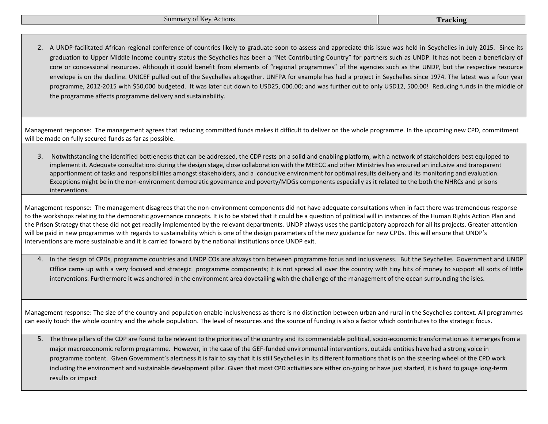2. A UNDP-facilitated African regional conference of countries likely to graduate soon to assess and appreciate this issue was held in Seychelles in July 2015. Since its graduation to Upper Middle Income country status the Seychelles has been a "Net Contributing Country" for partners such as UNDP. It has not been a beneficiary of core or concessional resources. Although it could benefit from elements of "regional programmes" of the agencies such as the UNDP, but the respective resource envelope is on the decline. UNICEF pulled out of the Seychelles altogether. UNFPA for example has had a project in Seychelles since 1974. The latest was a four year programme, 2012-2015 with \$50,000 budgeted. It was later cut down to USD25, 000.00; and was further cut to only USD12, 500.00! Reducing funds in the middle of the programme affects programme delivery and sustainability.

Management response: The management agrees that reducing committed funds makes it difficult to deliver on the whole programme. In the upcoming new CPD, commitment will be made on fully secured funds as far as possible.

3. Notwithstanding the identified bottlenecks that can be addressed, the CDP rests on a solid and enabling platform, with a network of stakeholders best equipped to implement it. Adequate consultations during the design stage, close collaboration with the MEECC and other Ministries has ensured an inclusive and transparent apportionment of tasks and responsibilities amongst stakeholders, and a conducive environment for optimal results delivery and its monitoring and evaluation. Exceptions might be in the non-environment democratic governance and poverty/MDGs components especially as it related to the both the NHRCs and prisons interventions.

Management response: The management disagrees that the non-environment components did not have adequate consultations when in fact there was tremendous response to the workshops relating to the democratic governance concepts. It is to be stated that it could be a question of political will in instances of the Human Rights Action Plan and the Prison Strategy that these did not get readily implemented by the relevant departments. UNDP always uses the participatory approach for all its projects. Greater attention will be paid in new programmes with regards to sustainability which is one of the design parameters of the new guidance for new CPDs. This will ensure that UNDP's interventions are more sustainable and it is carried forward by the national institutions once UNDP exit.

4. In the design of CPDs, programme countries and UNDP COs are always torn between programme focus and inclusiveness. But the Seychelles Government and UNDP Office came up with a very focused and strategic programme components; it is not spread all over the country with tiny bits of money to support all sorts of little interventions. Furthermore it was anchored in the environment area dovetailing with the challenge of the management of the ocean surrounding the isles.

Management response: The size of the country and population enable inclusiveness as there is no distinction between urban and rural in the Seychelles context. All programmes can easily touch the whole country and the whole population. The level of resources and the source of funding is also a factor which contributes to the strategic focus.

5. The three pillars of the CDP are found to be relevant to the priorities of the country and its commendable political, socio-economic transformation as it emerges from a major macroeconomic reform programme. However, in the case of the GEF-funded environmental interventions, outside entities have had a strong voice in programme content. Given Government's alertness it is fair to say that it is still Seychelles in its different formations that is on the steering wheel of the CPD work including the environment and sustainable development pillar. Given that most CPD activities are either on-going or have just started, it is hard to gauge long-term results or impact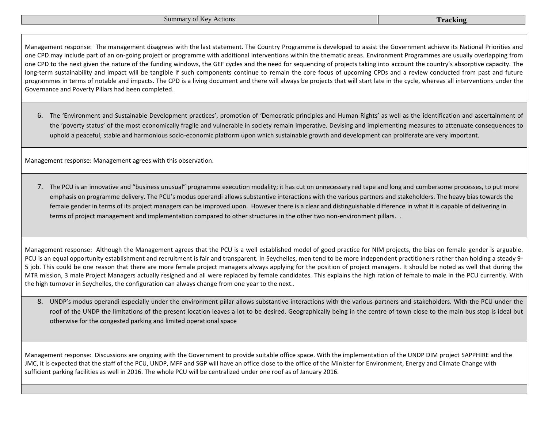Management response: The management disagrees with the last statement. The Country Programme is developed to assist the Government achieve its National Priorities and one CPD may include part of an on-going project or programme with additional interventions within the thematic areas. Environment Programmes are usually overlapping from one CPD to the next given the nature of the funding windows, the GEF cycles and the need for sequencing of projects taking into account the country's absorptive capacity. The long-term sustainability and impact will be tangible if such components continue to remain the core focus of upcoming CPDs and a review conducted from past and future programmes in terms of notable and impacts. The CPD is a living document and there will always be projects that will start late in the cycle, whereas all interventions under the Governance and Poverty Pillars had been completed.

6. The 'Environment and Sustainable Development practices', promotion of 'Democratic principles and Human Rights' as well as the identification and ascertainment of the 'poverty status' of the most economically fragile and vulnerable in society remain imperative. Devising and implementing measures to attenuate consequences to uphold a peaceful, stable and harmonious socio-economic platform upon which sustainable growth and development can proliferate are very important.

Management response: Management agrees with this observation.

7. The PCU is an innovative and "business unusual" programme execution modality; it has cut on unnecessary red tape and long and cumbersome processes, to put more emphasis on programme delivery. The PCU's modus operandi allows substantive interactions with the various partners and stakeholders. The heavy bias towards the female gender in terms of its project managers can be improved upon. However there is a clear and distinguishable difference in what it is capable of delivering in terms of project management and implementation compared to other structures in the other two non-environment pillars. .

Management response: Although the Management agrees that the PCU is a well established model of good practice for NIM projects, the bias on female gender is arguable. PCU is an equal opportunity establishment and recruitment is fair and transparent. In Seychelles, men tend to be more independent practitioners rather than holding a steady 9- 5 job. This could be one reason that there are more female project managers always applying for the position of project managers. It should be noted as well that during the MTR mission, 3 male Project Managers actually resigned and all were replaced by female candidates. This explains the high ration of female to male in the PCU currently. With the high turnover in Seychelles, the configuration can always change from one year to the next..

8. UNDP's modus operandi especially under the environment pillar allows substantive interactions with the various partners and stakeholders. With the PCU under the roof of the UNDP the limitations of the present location leaves a lot to be desired. Geographically being in the centre of town close to the main bus stop is ideal but otherwise for the congested parking and limited operational space

Management response: Discussions are ongoing with the Government to provide suitable office space. With the implementation of the UNDP DIM project SAPPHIRE and the JMC, it is expected that the staff of the PCU, UNDP, MFF and SGP will have an office close to the office of the Minister for Environment, Energy and Climate Change with sufficient parking facilities as well in 2016. The whole PCU will be centralized under one roof as of January 2016.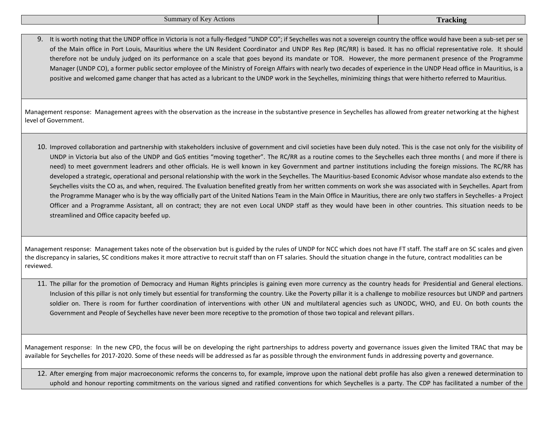9. It is worth noting that the UNDP office in Victoria is not a fully-fledged "UNDP CO"; if Seychelles was not a sovereign country the office would have been a sub-set per se of the Main office in Port Louis, Mauritius where the UN Resident Coordinator and UNDP Res Rep (RC/RR) is based. It has no official representative role. It should therefore not be unduly judged on its performance on a scale that goes beyond its mandate or TOR. However, the more permanent presence of the Programme Manager (UNDP CO), a former public sector employee of the Ministry of Foreign Affairs with nearly two decades of experience in the UNDP Head office in Mauritius, is a positive and welcomed game changer that has acted as a lubricant to the UNDP work in the Seychelles, minimizing things that were hitherto referred to Mauritius.

Management response: Management agrees with the observation as the increase in the substantive presence in Seychelles has allowed from greater networking at the highest level of Government.

10. Improved collaboration and partnership with stakeholders inclusive of government and civil societies have been duly noted. This is the case not only for the visibility of UNDP in Victoria but also of the UNDP and GoS entities "moving together". The RC/RR as a routine comes to the Seychelles each three months ( and more if there is need) to meet government leadrers and other officials. He is well known in key Government and partner institutions including the foreign missions. The RC/RR has developed a strategic, operational and personal relationship with the work in the Seychelles. The Mauritius-based Economic Advisor whose mandate also extends to the Seychelles visits the CO as, and when, required. The Evaluation benefited greatly from her written comments on work she was associated with in Seychelles. Apart from the Programme Manager who is by the way officially part of the United Nations Team in the Main Office in Mauritius, there are only two staffers in Seychelles- a Project Officer and a Programme Assistant, all on contract; they are not even Local UNDP staff as they would have been in other countries. This situation needs to be streamlined and Office capacity beefed up.

Management response: Management takes note of the observation but is guided by the rules of UNDP for NCC which does not have FT staff. The staff are on SC scales and given the discrepancy in salaries, SC conditions makes it more attractive to recruit staff than on FT salaries. Should the situation change in the future, contract modalities can be reviewed.

11. The pillar for the promotion of Democracy and Human Rights principles is gaining even more currency as the country heads for Presidential and General elections. Inclusion of this pillar is not only timely but essential for transforming the country. Like the Poverty pillar it is a challenge to mobilize resources but UNDP and partners soldier on. There is room for further coordination of interventions with other UN and multilateral agencies such as UNODC, WHO, and EU. On both counts the Government and People of Seychelles have never been more receptive to the promotion of those two topical and relevant pillars.

Management response: In the new CPD, the focus will be on developing the right partnerships to address poverty and governance issues given the limited TRAC that may be available for Seychelles for 2017-2020. Some of these needs will be addressed as far as possible through the environment funds in addressing poverty and governance.

12. After emerging from major macroeconomic reforms the concerns to, for example, improve upon the national debt profile has also given a renewed determination to uphold and honour reporting commitments on the various signed and ratified conventions for which Seychelles is a party. The CDP has facilitated a number of the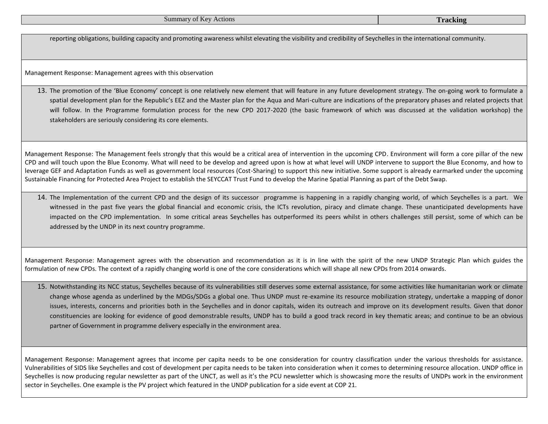| <b>Summary of Key Actions</b> | <b>Tracking</b> |
|-------------------------------|-----------------|
|-------------------------------|-----------------|

reporting obligations, building capacity and promoting awareness whilst elevating the visibility and credibility of Seychelles in the international community.

Management Response: Management agrees with this observation

13. The promotion of the 'Blue Economy' concept is one relatively new element that will feature in any future development strategy. The on-going work to formulate a spatial development plan for the Republic's EEZ and the Master plan for the Aqua and Mari-culture are indications of the preparatory phases and related projects that will follow. In the Programme formulation process for the new CPD 2017-2020 (the basic framework of which was discussed at the validation workshop) the stakeholders are seriously considering its core elements.

Management Response: The Management feels strongly that this would be a critical area of intervention in the upcoming CPD. Environment will form a core pillar of the new CPD and will touch upon the Blue Economy. What will need to be develop and agreed upon is how at what level will UNDP intervene to support the Blue Economy, and how to leverage GEF and Adaptation Funds as well as government local resources (Cost-Sharing) to support this new initiative. Some support is already earmarked under the upcoming Sustainable Financing for Protected Area Project to establish the SEYCCAT Trust Fund to develop the Marine Spatial Planning as part of the Debt Swap.

14. The Implementation of the current CPD and the design of its successor programme is happening in a rapidly changing world, of which Seychelles is a part. We witnessed in the past five years the global financial and economic crisis, the ICTs revolution, piracy and climate change. These unanticipated developments have impacted on the CPD implementation. In some critical areas Seychelles has outperformed its peers whilst in others challenges still persist, some of which can be addressed by the UNDP in its next country programme.

Management Response: Management agrees with the observation and recommendation as it is in line with the spirit of the new UNDP Strategic Plan which guides the formulation of new CPDs. The context of a rapidly changing world is one of the core considerations which will shape all new CPDs from 2014 onwards.

15. Notwithstanding its NCC status, Seychelles because of its vulnerabilities still deserves some external assistance, for some activities like humanitarian work or climate change whose agenda as underlined by the MDGs/SDGs a global one. Thus UNDP must re-examine its resource mobilization strategy, undertake a mapping of donor issues, interests, concerns and priorities both in the Seychelles and in donor capitals, widen its outreach and improve on its development results. Given that donor constituencies are looking for evidence of good demonstrable results, UNDP has to build a good track record in key thematic areas; and continue to be an obvious partner of Government in programme delivery especially in the environment area.

Management Response: Management agrees that income per capita needs to be one consideration for country classification under the various thresholds for assistance. Vulnerabilities of SIDS like Seychelles and cost of development per capita needs to be taken into consideration when it comes to determining resource allocation. UNDP office in Seychelles is now producing regular newsletter as part of the UNCT, as well as it's the PCU newsletter which is showcasing more the results of UNDPs work in the environment sector in Seychelles. One example is the PV project which featured in the UNDP publication for a side event at COP 21.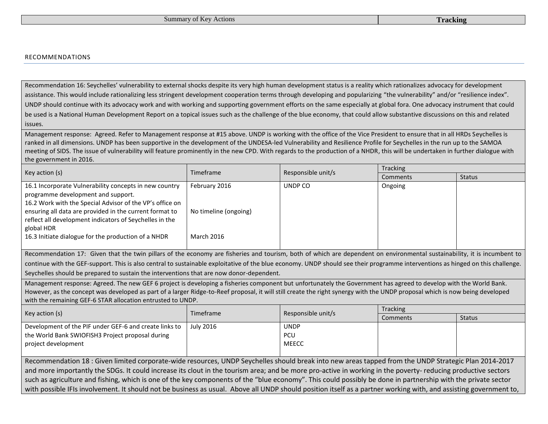#### RECOMMENDATIONS

Recommendation 16: Seychelles' vulnerability to external shocks despite its very high human development status is a reality which rationalizes advocacy for development assistance. This would include rationalizing less stringent development cooperation terms through developing and popularizing "the vulnerability" and/or "resilience index". UNDP should continue with its advocacy work and with working and supporting government efforts on the same especially at global fora. One advocacy instrument that could be used is a National Human Development Report on a topical issues such as the challenge of the blue economy, that could allow substantive discussions on this and related issues.

Management response: Agreed. Refer to Management response at #15 above. UNDP is working with the office of the Vice President to ensure that in all HRDs Seychelles is ranked in all dimensions. UNDP has been supportive in the development of the UNDESA-led Vulnerability and Resilience Profile for Seychelles in the run up to the SAMOA meeting of SIDS. The issue of vulnerability will feature prominently in the new CPD. With regards to the production of a NHDR, this will be undertaken in further dialogue with the government in 2016.

|                                                                                                                                                                                                                                                                                                                                                     |                                                             | Responsible unit/s<br>Timeframe | Tracking |               |
|-----------------------------------------------------------------------------------------------------------------------------------------------------------------------------------------------------------------------------------------------------------------------------------------------------------------------------------------------------|-------------------------------------------------------------|---------------------------------|----------|---------------|
| Key action (s)                                                                                                                                                                                                                                                                                                                                      |                                                             |                                 | Comments | <b>Status</b> |
| 16.1 Incorporate Vulnerability concepts in new country<br>programme development and support.<br>16.2 Work with the Special Advisor of the VP's office on<br>ensuring all data are provided in the current format to<br>reflect all development indicators of Seychelles in the<br>global HDR<br>16.3 Initiate dialogue for the production of a NHDR | February 2016<br>No timeline (ongoing)<br><b>March 2016</b> | UNDP CO                         | Ongoing  |               |

Recommendation 17: Given that the twin pillars of the economy are fisheries and tourism, both of which are dependent on environmental sustainability, it is incumbent to continue with the GEF-support. This is also central to sustainable exploitative of the blue economy. UNDP should see their programme interventions as hinged on this challenge. Seychelles should be prepared to sustain the interventions that are now donor-dependent.

Management response: Agreed. The new GEF 6 project is developing a fisheries component but unfortunately the Government has agreed to develop with the World Bank. However, as the concept was developed as part of a larger Ridge-to-Reef proposal, it will still create the right synergy with the UNDP proposal which is now being developed with the remaining GEF-6 STAR allocation entrusted to UNDP.

|                                                        | <b>Tracking</b> |                    |          |               |
|--------------------------------------------------------|-----------------|--------------------|----------|---------------|
| Key action (s)                                         | Timeframe       | Responsible unit/s | Comments | <b>Status</b> |
| Development of the PIF under GEF-6 and create links to | July 2016       | <b>UNDP</b>        |          |               |
| the World Bank SWIOFISH3 Project proposal during       |                 | <b>PCU</b>         |          |               |
| project development                                    |                 | <b>MEECC</b>       |          |               |
|                                                        |                 |                    |          |               |

Recommendation 18 : Given limited corporate-wide resources, UNDP Seychelles should break into new areas tapped from the UNDP Strategic Plan 2014-2017 and more importantly the SDGs. It could increase its clout in the tourism area; and be more pro-active in working in the poverty- reducing productive sectors such as agriculture and fishing, which is one of the key components of the "blue economy". This could possibly be done in partnership with the private sector with possible IFIs involvement. It should not be business as usual. Above all UNDP should position itself as a partner working with, and assisting government to,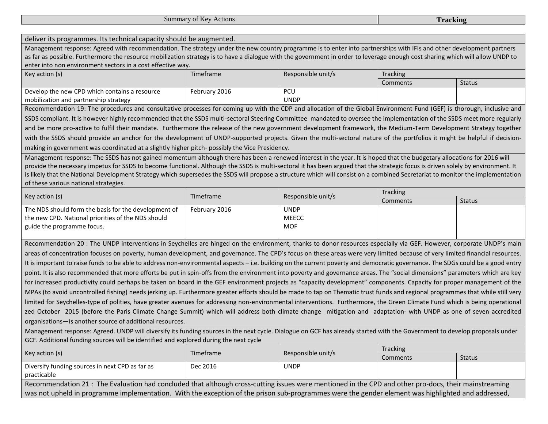Summary of Key Actions **Tracking**

deliver its programmes. Its technical capacity should be augmented.

Management response: Agreed with recommendation. The strategy under the new country programme is to enter into partnerships with IFIs and other development partners as far as possible. Furthermore the resource mobilization strategy is to have a dialogue with the government in order to leverage enough cost sharing which will allow UNDP to enter into non environment sectors in a cost effective way.

| Key action (s)                                | Timeframe     | Responsible unit/s | Tracking |               |
|-----------------------------------------------|---------------|--------------------|----------|---------------|
|                                               |               |                    | Comments | <b>Status</b> |
| Develop the new CPD which contains a resource | February 2016 | PCU                |          |               |
| mobilization and partnership strategy         |               | <b>UNDP</b>        |          |               |

Recommendation 19: The procedures and consultative processes for coming up with the CDP and allocation of the Global Environment Fund (GEF) is thorough, inclusive and SSDS compliant. It is however highly recommended that the SSDS multi-sectoral Steering Committee mandated to oversee the implementation of the SSDS meet more regularly and be more pro-active to fulfil their mandate. Furthermore the release of the new government development framework, the Medium-Term Development Strategy together with the SSDS should provide an anchor for the development of UNDP-supported projects. Given the multi-sectoral nature of the portfolios it might be helpful if decisionmaking in government was coordinated at a slightly higher pitch- possibly the Vice Presidency.

Management response: The SSDS has not gained momentum although there has been a renewed interest in the year. It is hoped that the budgetary allocations for 2016 will provide the necessary impetus for SSDS to become functional. Although the SSDS is multi-sectoral it has been argued that the strategic focus is driven solely by environment. It is likely that the National Development Strategy which supersedes the SSDS will propose a structure which will consist on a combined Secretariat to monitor the implementation of these various national strategies.

|                                                      | Responsible unit/s<br>Timeframe |              | <b>Tracking</b> |  |
|------------------------------------------------------|---------------------------------|--------------|-----------------|--|
| Key action (s)                                       |                                 | Comments     | <b>Status</b>   |  |
| The NDS should form the basis for the development of | February 2016                   | <b>UNDP</b>  |                 |  |
| the new CPD. National priorities of the NDS should   |                                 | <b>MEECC</b> |                 |  |
| guide the programme focus.                           |                                 | <b>MOF</b>   |                 |  |
|                                                      |                                 |              |                 |  |

Recommendation 20 : The UNDP interventions in Seychelles are hinged on the environment, thanks to donor resources especially via GEF. However, corporate UNDP's main areas of concentration focuses on poverty, human development, and governance. The CPD's focus on these areas were very limited because of very limited financial resources. It is important to raise funds to be able to address non-environmental aspects – i.e. building on the current poverty and democratic governance. The SDGs could be a good entry point. It is also recommended that more efforts be put in spin-offs from the environment into poverty and governance areas. The "social dimensions" parameters which are key for increased productivity could perhaps be taken on board in the GEF environment projects as "capacity development" components. Capacity for proper management of the MPAs (to avoid uncontrolled fishing) needs jerking up. Furthermore greater efforts should be made to tap on Thematic trust funds and regional programmes that while still very limited for Seychelles-type of polities, have greater avenues for addressing non-environmental interventions. Furthermore, the Green Climate Fund which is being operational zed October 2015 (before the Paris Climate Change Summit) which will address both climate change mitigation and adaptation- with UNDP as one of seven accredited organisations—is another source of additional resources.

Management response: Agreed. UNDP will diversify its funding sources in the next cycle. Dialogue on GCF has already started with the Government to develop proposals under GCF. Additional funding sources will be identified and explored during the next cycle

| Key action (s)                                                                                                                                       | Timeframe | Responsible unit/s | <b>Tracking</b> |        |  |
|------------------------------------------------------------------------------------------------------------------------------------------------------|-----------|--------------------|-----------------|--------|--|
|                                                                                                                                                      |           |                    | Comments        | Status |  |
| Diversify funding sources in next CPD as far as                                                                                                      | Dec 2016  | <b>UNDP</b>        |                 |        |  |
| practicable                                                                                                                                          |           |                    |                 |        |  |
| Recommendation 21: The Evaluation had concluded that although cross-cutting issues were mentioned in the CPD and other pro-docs, their mainstreaming |           |                    |                 |        |  |
| was not upheld in programme implementation. With the exception of the prison sub-programmes were the gender element was highlighted and addressed,   |           |                    |                 |        |  |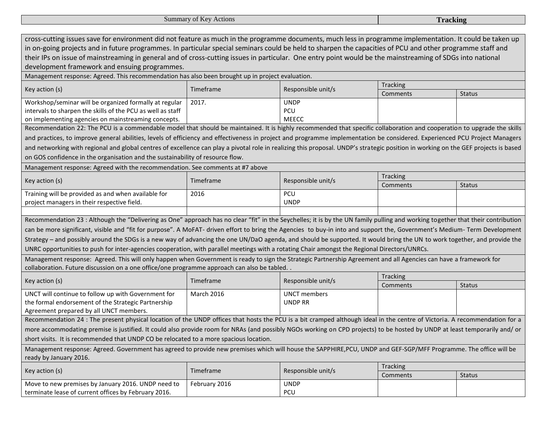| Summary of Key Actions                                                                                                                                                                                                                                                                                                                                                                                                                                                                                                                                                                                                                                                                                                                                                                                                                                           |                   |                                       | <b>Tracking</b> |               |
|------------------------------------------------------------------------------------------------------------------------------------------------------------------------------------------------------------------------------------------------------------------------------------------------------------------------------------------------------------------------------------------------------------------------------------------------------------------------------------------------------------------------------------------------------------------------------------------------------------------------------------------------------------------------------------------------------------------------------------------------------------------------------------------------------------------------------------------------------------------|-------------------|---------------------------------------|-----------------|---------------|
|                                                                                                                                                                                                                                                                                                                                                                                                                                                                                                                                                                                                                                                                                                                                                                                                                                                                  |                   |                                       |                 |               |
| cross-cutting issues save for environment did not feature as much in the programme documents, much less in programme implementation. It could be taken up<br>in on-going projects and in future programmes. In particular special seminars could be held to sharpen the capacities of PCU and other programme staff and<br>their IPs on issue of mainstreaming in general and of cross-cutting issues in particular. One entry point would be the mainstreaming of SDGs into national<br>development framework and ensuing programmes.                                                                                                                                                                                                                                                                                                                           |                   |                                       |                 |               |
| Management response: Agreed. This recommendation has also been brought up in project evaluation.                                                                                                                                                                                                                                                                                                                                                                                                                                                                                                                                                                                                                                                                                                                                                                 |                   |                                       |                 |               |
|                                                                                                                                                                                                                                                                                                                                                                                                                                                                                                                                                                                                                                                                                                                                                                                                                                                                  |                   |                                       | <b>Tracking</b> |               |
| Key action (s)                                                                                                                                                                                                                                                                                                                                                                                                                                                                                                                                                                                                                                                                                                                                                                                                                                                   | Timeframe         | Responsible unit/s                    | Comments        | <b>Status</b> |
| Workshop/seminar will be organized formally at regular<br>intervals to sharpen the skills of the PCU as well as staff<br>on implementing agencies on mainstreaming concepts.                                                                                                                                                                                                                                                                                                                                                                                                                                                                                                                                                                                                                                                                                     | 2017.             | <b>UNDP</b><br>PCU<br><b>MEECC</b>    |                 |               |
| Recommendation 22: The PCU is a commendable model that should be maintained. It is highly recommended that specific collaboration and cooperation to upgrade the skills                                                                                                                                                                                                                                                                                                                                                                                                                                                                                                                                                                                                                                                                                          |                   |                                       |                 |               |
| and practices, to improve general abilities, levels of efficiency and effectiveness in project and programme implementation be considered. Experienced PCU Project Managers<br>and networking with regional and global centres of excellence can play a pivotal role in realizing this proposal. UNDP's strategic position in working on the GEF projects is based<br>on GOS confidence in the organisation and the sustainability of resource flow.<br>Management response: Agreed with the recommendation. See comments at #7 above                                                                                                                                                                                                                                                                                                                            |                   |                                       |                 |               |
|                                                                                                                                                                                                                                                                                                                                                                                                                                                                                                                                                                                                                                                                                                                                                                                                                                                                  |                   |                                       | <b>Tracking</b> |               |
| Key action (s)                                                                                                                                                                                                                                                                                                                                                                                                                                                                                                                                                                                                                                                                                                                                                                                                                                                   | Timeframe         | Responsible unit/s                    | Comments        | <b>Status</b> |
| Training will be provided as and when available for<br>project managers in their respective field.                                                                                                                                                                                                                                                                                                                                                                                                                                                                                                                                                                                                                                                                                                                                                               | 2016              | PCU<br><b>UNDP</b>                    |                 |               |
|                                                                                                                                                                                                                                                                                                                                                                                                                                                                                                                                                                                                                                                                                                                                                                                                                                                                  |                   |                                       |                 |               |
| Recommendation 23 : Although the "Delivering as One" approach has no clear "fit" in the Seychelles; it is by the UN family pulling and working together that their contribution<br>can be more significant, visible and "fit for purpose". A MoFAT- driven effort to bring the Agencies to buy-in into and support the, Government's Medium- Term Development<br>Strategy – and possibly around the SDGs is a new way of advancing the one UN/DaO agenda, and should be supported. It would bring the UN to work together, and provide the<br>UNRC opportunities to push for inter-agencies cooperation, with parallel meetings with a rotating Chair amongst the Regional Directors/UNRCs.<br>Management response: Agreed. This will only happen when Government is ready to sign the Strategic Partnership Agreement and all Agencies can have a framework for |                   |                                       |                 |               |
| collaboration. Future discussion on a one office/one programme approach can also be tabled. .                                                                                                                                                                                                                                                                                                                                                                                                                                                                                                                                                                                                                                                                                                                                                                    |                   |                                       | <b>Tracking</b> |               |
| Key action (s)                                                                                                                                                                                                                                                                                                                                                                                                                                                                                                                                                                                                                                                                                                                                                                                                                                                   | Timeframe         | Responsible unit/s                    | Comments        | <b>Status</b> |
| UNCT will continue to follow up with Government for<br>the formal endorsement of the Strategic Partnership<br>Agreement prepared by all UNCT members.                                                                                                                                                                                                                                                                                                                                                                                                                                                                                                                                                                                                                                                                                                            | <b>March 2016</b> | <b>UNCT</b> members<br><b>UNDP RR</b> |                 |               |
| Recommendation 24 : The present physical location of the UNDP offices that hosts the PCU is a bit cramped although ideal in the centre of Victoria. A recommendation for a                                                                                                                                                                                                                                                                                                                                                                                                                                                                                                                                                                                                                                                                                       |                   |                                       |                 |               |
| more accommodating premise is justified. It could also provide room for NRAs (and possibly NGOs working on CPD projects) to be hosted by UNDP at least temporarily and/ or                                                                                                                                                                                                                                                                                                                                                                                                                                                                                                                                                                                                                                                                                       |                   |                                       |                 |               |
| short visits. It is recommended that UNDP CO be relocated to a more spacious location.                                                                                                                                                                                                                                                                                                                                                                                                                                                                                                                                                                                                                                                                                                                                                                           |                   |                                       |                 |               |
| Management response: Agreed. Government has agreed to provide new premises which will house the SAPPHIRE, PCU, UNDP and GEF-SGP/MFF Programme. The office will be<br>ready by January 2016.                                                                                                                                                                                                                                                                                                                                                                                                                                                                                                                                                                                                                                                                      |                   |                                       |                 |               |
|                                                                                                                                                                                                                                                                                                                                                                                                                                                                                                                                                                                                                                                                                                                                                                                                                                                                  | Timeframe         |                                       | <b>Tracking</b> |               |
| Key action (s)                                                                                                                                                                                                                                                                                                                                                                                                                                                                                                                                                                                                                                                                                                                                                                                                                                                   |                   | Responsible unit/s                    | Comments        | <b>Status</b> |
| Move to new premises by January 2016. UNDP need to                                                                                                                                                                                                                                                                                                                                                                                                                                                                                                                                                                                                                                                                                                                                                                                                               | February 2016     | <b>UNDP</b>                           |                 |               |
| terminate lease of current offices by February 2016.                                                                                                                                                                                                                                                                                                                                                                                                                                                                                                                                                                                                                                                                                                                                                                                                             |                   | PCU                                   |                 |               |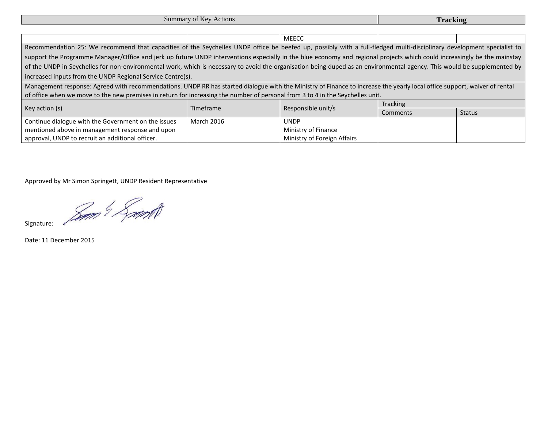**Summary of Key Actions Tracking** 

|                                                                                                                                                                           |                                                                                                                                                                       | <b>MEECC</b>                |          |               |  |  |
|---------------------------------------------------------------------------------------------------------------------------------------------------------------------------|-----------------------------------------------------------------------------------------------------------------------------------------------------------------------|-----------------------------|----------|---------------|--|--|
|                                                                                                                                                                           | Recommendation 25: We recommend that capacities of the Seychelles UNDP office be beefed up, possibly with a full-fledged multi-disciplinary development specialist to |                             |          |               |  |  |
| support the Programme Manager/Office and jerk up future UNDP interventions especially in the blue economy and regional projects which could increasingly be the mainstay  |                                                                                                                                                                       |                             |          |               |  |  |
| of the UNDP in Seychelles for non-environmental work, which is necessary to avoid the organisation being duped as an environmental agency. This would be supplemented by  |                                                                                                                                                                       |                             |          |               |  |  |
| increased inputs from the UNDP Regional Service Centre(s).                                                                                                                |                                                                                                                                                                       |                             |          |               |  |  |
| Management response: Agreed with recommendations. UNDP RR has started dialogue with the Ministry of Finance to increase the yearly local office support, waiver of rental |                                                                                                                                                                       |                             |          |               |  |  |
| of office when we move to the new premises in return for increasing the number of personal from 3 to 4 in the Seychelles unit.                                            |                                                                                                                                                                       |                             |          |               |  |  |
|                                                                                                                                                                           | <b>Tracking</b><br>Responsible unit/s<br>Timeframe                                                                                                                    |                             |          |               |  |  |
| Key action (s)                                                                                                                                                            |                                                                                                                                                                       |                             | Comments | <b>Status</b> |  |  |
| Continue dialogue with the Government on the issues                                                                                                                       | <b>March 2016</b>                                                                                                                                                     | <b>UNDP</b>                 |          |               |  |  |
| mentioned above in management response and upon                                                                                                                           |                                                                                                                                                                       | Ministry of Finance         |          |               |  |  |
| approval, UNDP to recruit an additional officer.                                                                                                                          |                                                                                                                                                                       | Ministry of Foreign Affairs |          |               |  |  |

Approved by Mr Simon Springett, UNDP Resident Representative

Signature: Samt

Date: 11 December 2015